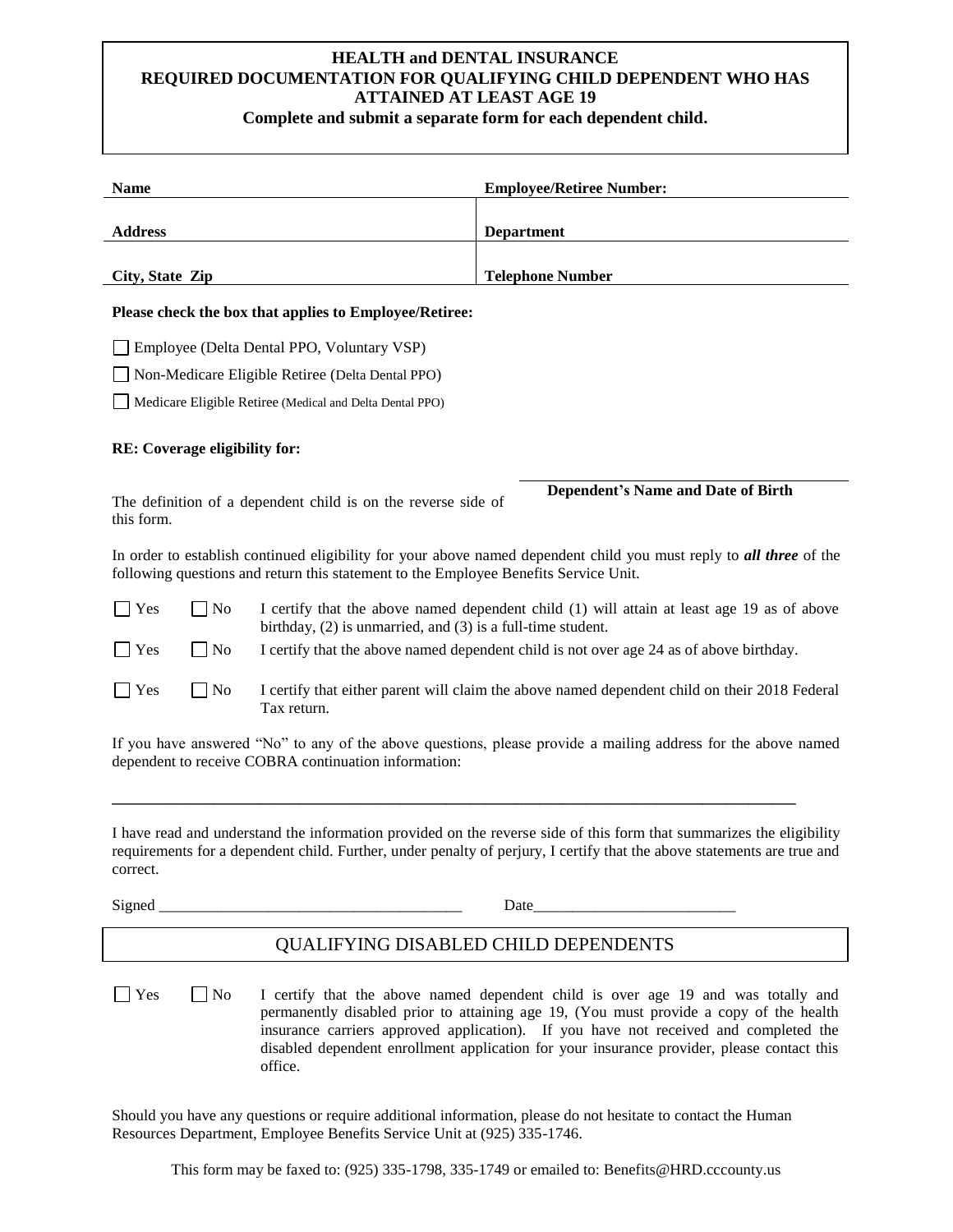## **HEALTH and DENTAL INSURANCE REQUIRED DOCUMENTATION FOR QUALIFYING CHILD DEPENDENT WHO HAS ATTAINED AT LEAST AGE 19**

**Complete and submit a separate form for each dependent child.**

| <b>Name</b>                                                                                                                                                                                                                                                 | <b>Employee/Retiree Number:</b>                                                                                                                                                                                                                                                                                                                                   |
|-------------------------------------------------------------------------------------------------------------------------------------------------------------------------------------------------------------------------------------------------------------|-------------------------------------------------------------------------------------------------------------------------------------------------------------------------------------------------------------------------------------------------------------------------------------------------------------------------------------------------------------------|
| <b>Address</b>                                                                                                                                                                                                                                              | <b>Department</b>                                                                                                                                                                                                                                                                                                                                                 |
|                                                                                                                                                                                                                                                             |                                                                                                                                                                                                                                                                                                                                                                   |
| <b>Telephone Number</b><br>City, State Zip                                                                                                                                                                                                                  |                                                                                                                                                                                                                                                                                                                                                                   |
| Please check the box that applies to Employee/Retiree:                                                                                                                                                                                                      |                                                                                                                                                                                                                                                                                                                                                                   |
| Employee (Delta Dental PPO, Voluntary VSP)                                                                                                                                                                                                                  |                                                                                                                                                                                                                                                                                                                                                                   |
| Non-Medicare Eligible Retiree (Delta Dental PPO)                                                                                                                                                                                                            |                                                                                                                                                                                                                                                                                                                                                                   |
| Medicare Eligible Retiree (Medical and Delta Dental PPO)                                                                                                                                                                                                    |                                                                                                                                                                                                                                                                                                                                                                   |
| RE: Coverage eligibility for:                                                                                                                                                                                                                               |                                                                                                                                                                                                                                                                                                                                                                   |
|                                                                                                                                                                                                                                                             | <b>Dependent's Name and Date of Birth</b>                                                                                                                                                                                                                                                                                                                         |
| The definition of a dependent child is on the reverse side of<br>this form.                                                                                                                                                                                 |                                                                                                                                                                                                                                                                                                                                                                   |
| In order to establish continued eligibility for your above named dependent child you must reply to all three of the<br>following questions and return this statement to the Employee Benefits Service Unit.                                                 |                                                                                                                                                                                                                                                                                                                                                                   |
| $\Box$ No<br>Yes<br>I certify that the above named dependent child (1) will attain at least age 19 as of above<br>birthday, $(2)$ is unmarried, and $(3)$ is a full-time student.                                                                           |                                                                                                                                                                                                                                                                                                                                                                   |
| N <sub>o</sub><br>Yes<br>$\blacksquare$                                                                                                                                                                                                                     | I certify that the above named dependent child is not over age 24 as of above birthday.                                                                                                                                                                                                                                                                           |
| $\Box$ No<br>I certify that either parent will claim the above named dependent child on their 2018 Federal<br>Yes<br>Tax return.                                                                                                                            |                                                                                                                                                                                                                                                                                                                                                                   |
| If you have answered "No" to any of the above questions, please provide a mailing address for the above named<br>dependent to receive COBRA continuation information:                                                                                       |                                                                                                                                                                                                                                                                                                                                                                   |
| I have read and understand the information provided on the reverse side of this form that summarizes the eligibility<br>requirements for a dependent child. Further, under penalty of perjury, I certify that the above statements are true and<br>correct. |                                                                                                                                                                                                                                                                                                                                                                   |
| Signed                                                                                                                                                                                                                                                      | Date                                                                                                                                                                                                                                                                                                                                                              |
| QUALIFYING DISABLED CHILD DEPENDENTS                                                                                                                                                                                                                        |                                                                                                                                                                                                                                                                                                                                                                   |
| <b>No</b><br>Yes<br>office.                                                                                                                                                                                                                                 | I certify that the above named dependent child is over age 19 and was totally and<br>permanently disabled prior to attaining age 19, (You must provide a copy of the health<br>insurance carriers approved application). If you have not received and completed the<br>disabled dependent enrollment application for your insurance provider, please contact this |
| Should you have any questions or require additional information, please do not hesitate to contact the Human                                                                                                                                                |                                                                                                                                                                                                                                                                                                                                                                   |

Resources Department, Employee Benefits Service Unit at (925) 335-1746.

This form may be faxed to: (925) 335-1798, 335-1749 or emailed to: Benefits@HRD.cccounty.us